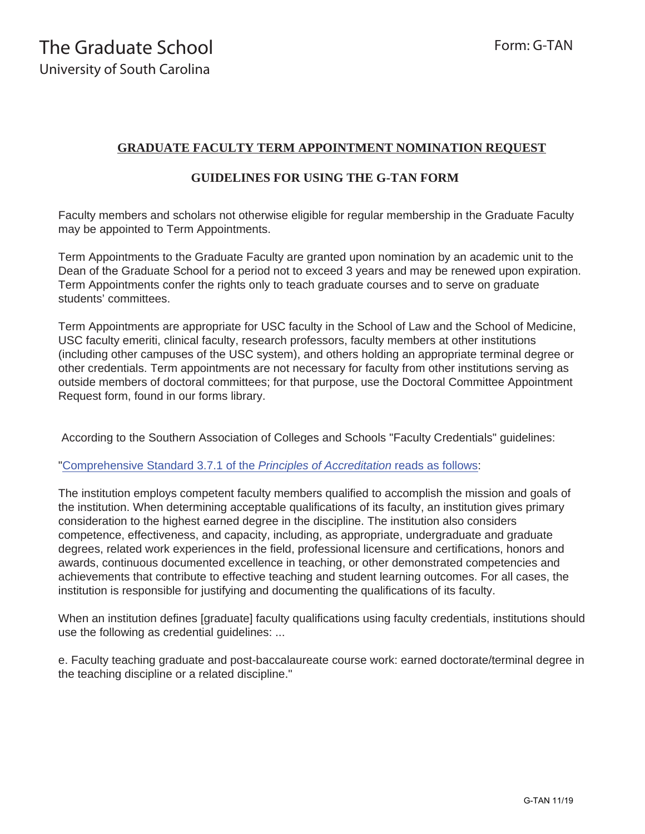## **GRADUATE FACULTY TERM APPOINTMENT NOMINATION REQUEST**

## **GUIDELINES FOR USING THE G-TAN FORM**

Faculty members and scholars not otherwise eligible for regular membership in the Graduate Faculty may be appointed to Term Appointments.

Term Appointments to the Graduate Faculty are granted upon nomination by an academic unit to the Dean of the Graduate School for a period not to exceed 3 years and may be renewed upon expiration. Term Appointments confer the rights only to teach graduate courses and to serve on graduate students' committees.

Term Appointments are appropriate for USC faculty in the School of Law and the School of Medicine, USC faculty emeriti, clinical faculty, research professors, faculty members at other institutions (including other campuses of the USC system), and others holding an appropriate terminal degree or other credentials. Term appointments are not necessary for faculty from other institutions serving as outside members of doctoral committees; for that purpose, use the Doctoral Committee Appointment Request form, found in our forms library.

According to the Southern Association of Colleges and Schools "Faculty Credentials" guidelines:

["Comprehensive Standard 3.7.1 of the](http://www.sacscoc.org/pdf/081705/faculty%20credentials.pdf) *Principles of Accreditation* reads as follows:

The institution employs competent faculty members qualified to accomplish the mission and goals of the institution. When determining acceptable qualifications of its faculty, an institution gives primary consideration to the highest earned degree in the discipline. The institution also considers competence, effectiveness, and capacity, including, as appropriate, undergraduate and graduate degrees, related work experiences in the field, professional licensure and certifications, honors and awards, continuous documented excellence in teaching, or other demonstrated competencies and achievements that contribute to effective teaching and student learning outcomes. For all cases, the institution is responsible for justifying and documenting the qualifications of its faculty.

When an institution defines [graduate] faculty qualifications using faculty credentials, institutions should use the following as credential guidelines: ...

e. Faculty teaching graduate and post-baccalaureate course work: earned doctorate/terminal degree in the teaching discipline or a related discipline."